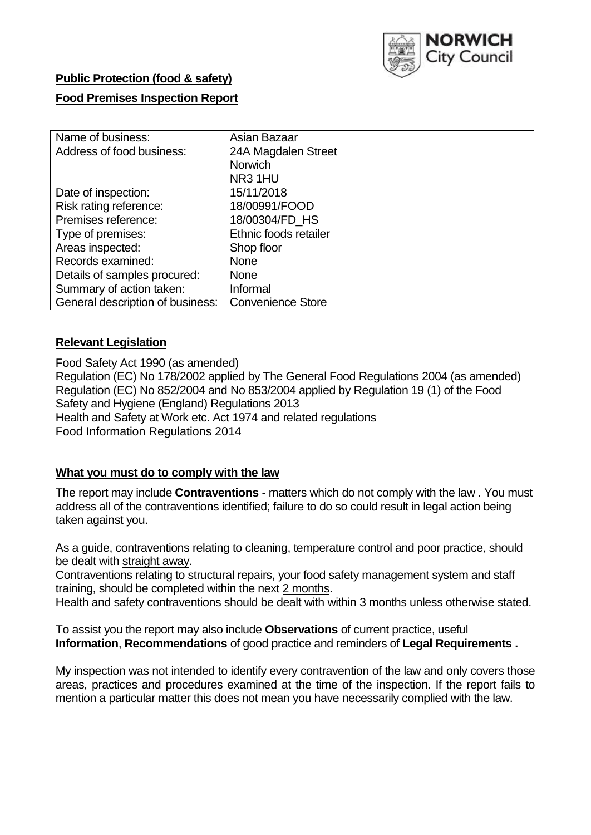

# **Public Protection (food & safety)**

# **Food Premises Inspection Report**

| Name of business:                | Asian Bazaar             |
|----------------------------------|--------------------------|
| Address of food business:        | 24A Magdalen Street      |
|                                  | <b>Norwich</b>           |
|                                  | NR31HU                   |
| Date of inspection:              | 15/11/2018               |
| Risk rating reference:           | 18/00991/FOOD            |
| Premises reference:              | 18/00304/FD_HS           |
| Type of premises:                | Ethnic foods retailer    |
| Areas inspected:                 | Shop floor               |
| Records examined:                | <b>None</b>              |
| Details of samples procured:     | None                     |
| Summary of action taken:         | Informal                 |
| General description of business: | <b>Convenience Store</b> |

# **Relevant Legislation**

Food Safety Act 1990 (as amended) Regulation (EC) No 178/2002 applied by The General Food Regulations 2004 (as amended) Regulation (EC) No 852/2004 and No 853/2004 applied by Regulation 19 (1) of the Food Safety and Hygiene (England) Regulations 2013 Health and Safety at Work etc. Act 1974 and related regulations Food Information Regulations 2014

# **What you must do to comply with the law**

The report may include **Contraventions** - matters which do not comply with the law . You must address all of the contraventions identified; failure to do so could result in legal action being taken against you.

As a guide, contraventions relating to cleaning, temperature control and poor practice, should be dealt with straight away.

Contraventions relating to structural repairs, your food safety management system and staff training, should be completed within the next 2 months.

Health and safety contraventions should be dealt with within 3 months unless otherwise stated.

To assist you the report may also include **Observations** of current practice, useful **Information**, **Recommendations** of good practice and reminders of **Legal Requirements .**

My inspection was not intended to identify every contravention of the law and only covers those areas, practices and procedures examined at the time of the inspection. If the report fails to mention a particular matter this does not mean you have necessarily complied with the law.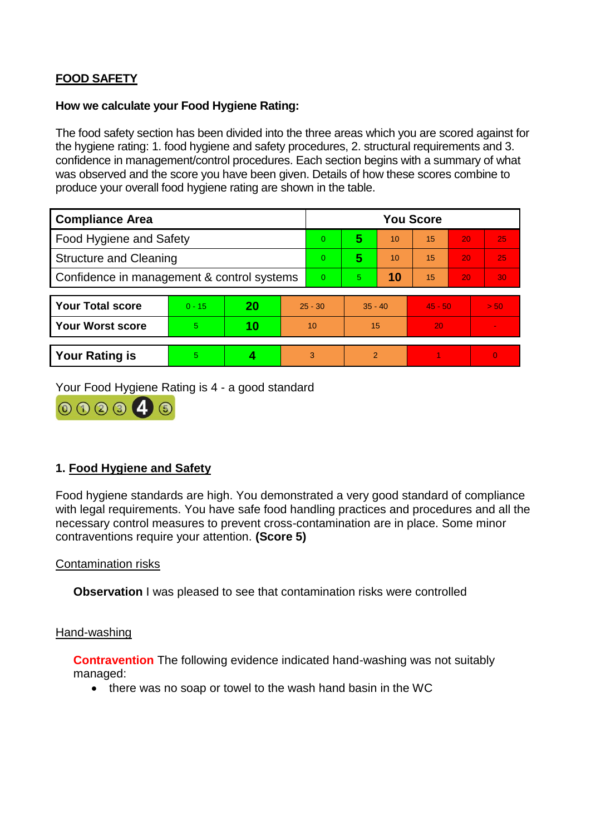# **FOOD SAFETY**

### **How we calculate your Food Hygiene Rating:**

The food safety section has been divided into the three areas which you are scored against for the hygiene rating: 1. food hygiene and safety procedures, 2. structural requirements and 3. confidence in management/control procedures. Each section begins with a summary of what was observed and the score you have been given. Details of how these scores combine to produce your overall food hygiene rating are shown in the table.

| <b>Compliance Area</b>                     |          |    |    | <b>You Score</b> |                |    |           |    |                |  |  |
|--------------------------------------------|----------|----|----|------------------|----------------|----|-----------|----|----------------|--|--|
| Food Hygiene and Safety                    |          |    |    | $\Omega$         | 5              | 10 | 15        | 20 | 25             |  |  |
| <b>Structure and Cleaning</b>              |          |    |    | $\overline{0}$   | 5              | 10 | 15        | 20 | 25             |  |  |
| Confidence in management & control systems |          |    |    | $\Omega$         | $\overline{5}$ | 10 | 15        | 20 | 30             |  |  |
|                                            |          |    |    |                  |                |    |           |    |                |  |  |
| <b>Your Total score</b>                    | $0 - 15$ | 20 |    | $25 - 30$        | $35 - 40$      |    | $45 - 50$ |    | > 50           |  |  |
| <b>Your Worst score</b>                    | 5        | 10 | 10 |                  | 15             |    | 20        |    | $\blacksquare$ |  |  |
|                                            |          |    |    |                  |                |    |           |    |                |  |  |
| <b>Your Rating is</b>                      | 5        |    |    | 3                | $\overline{2}$ |    |           |    | $\Omega$       |  |  |

Your Food Hygiene Rating is 4 - a good standard



# **1. Food Hygiene and Safety**

Food hygiene standards are high. You demonstrated a very good standard of compliance with legal requirements. You have safe food handling practices and procedures and all the necessary control measures to prevent cross-contamination are in place. Some minor contraventions require your attention. **(Score 5)**

# Contamination risks

**Observation** I was pleased to see that contamination risks were controlled

#### Hand-washing

**Contravention** The following evidence indicated hand-washing was not suitably managed:

• there was no soap or towel to the wash hand basin in the WC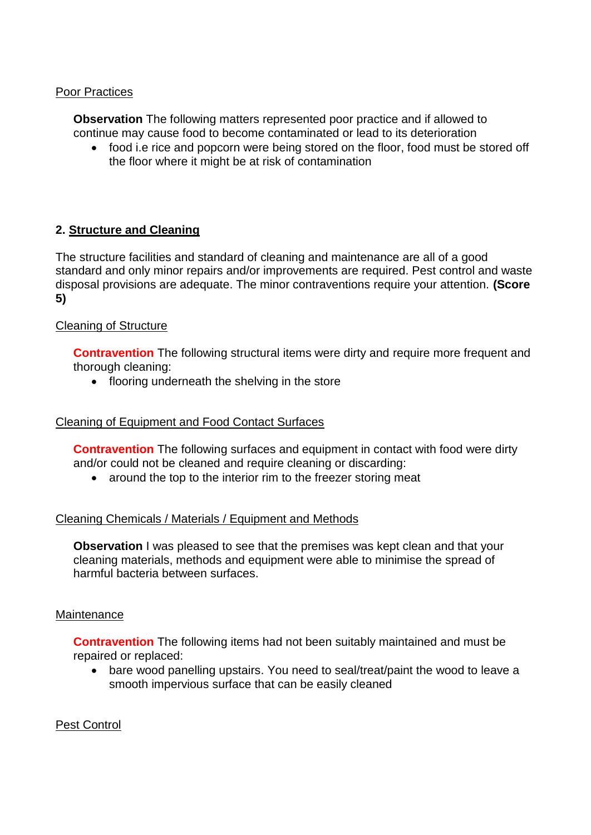### Poor Practices

**Observation** The following matters represented poor practice and if allowed to continue may cause food to become contaminated or lead to its deterioration

• food i.e rice and popcorn were being stored on the floor, food must be stored off the floor where it might be at risk of contamination

# **2. Structure and Cleaning**

The structure facilities and standard of cleaning and maintenance are all of a good standard and only minor repairs and/or improvements are required. Pest control and waste disposal provisions are adequate. The minor contraventions require your attention. **(Score 5)**

# Cleaning of Structure

**Contravention** The following structural items were dirty and require more frequent and thorough cleaning:

• flooring underneath the shelving in the store

### Cleaning of Equipment and Food Contact Surfaces

**Contravention** The following surfaces and equipment in contact with food were dirty and/or could not be cleaned and require cleaning or discarding:

• around the top to the interior rim to the freezer storing meat

# Cleaning Chemicals / Materials / Equipment and Methods

**Observation** I was pleased to see that the premises was kept clean and that your cleaning materials, methods and equipment were able to minimise the spread of harmful bacteria between surfaces.

#### **Maintenance**

**Contravention** The following items had not been suitably maintained and must be repaired or replaced:

• bare wood panelling upstairs. You need to seal/treat/paint the wood to leave a smooth impervious surface that can be easily cleaned

Pest Control